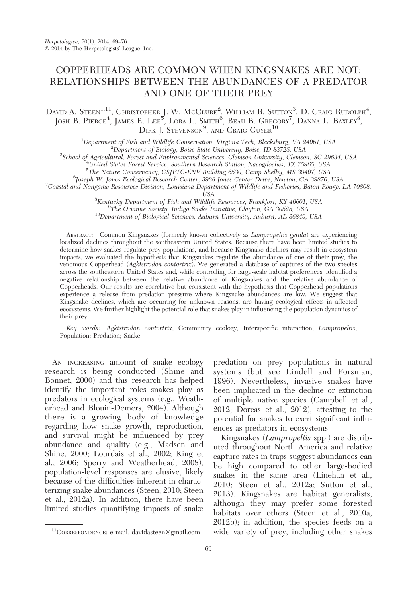# COPPERHEADS ARE COMMON WHEN KINGSNAKES ARE NOT: RELATIONSHIPS BETWEEN THE ABUNDANCES OF A PREDATOR AND ONE OF THEIR PREY

## DAVID A. STEEN<sup>1,11</sup>, CHRISTOPHER J. W. MCCLURE<sup>2</sup>, WILLIAM B. SUTTON<sup>3</sup>, D. CRAIG RUDOLPH<sup>4</sup>, JOSH B. PIERCE<sup>4</sup>, JAMES R. LEE<sup>5</sup>, LORA L. SMITH<sup>6</sup>, BEAU B. GREGORY<sup>7</sup>, DANNA L. BAXLEY<sup>8</sup>, DIRK J. STEVENSON<sup>9</sup>, AND CRAIG GUYER<sup>10</sup>

<sup>1</sup>Department of Fish and Wildlife Conservation, Virginia Tech, Blacksburg, VA 24061, USA<br><sup>2</sup>Department of Biology, Bojse State University, Bojse, JD 83795, USA

 ${}^{2}$ Department of Biology, Boise State University, Boise, ID 83725, USA

School of Agricultural, Forest and Environmental Sciences, Clemson University, Clemson, SC 29634, USA <sup>4</sup>

United States Forest Service, Southern Research Station, Nacogdoches, TX 75965, USA

<sup>5</sup>The Nature Conservancy, CSJFTC-ENV Building 6530, Camp Shelby, MS 39407, USA<br><sup>6</sup>Logarh W. Janes Ecclesiael Bessamb Center, 3988 Janes Center Drive Neuton, CA 39870

<sup>6</sup>Joseph W. Jones Ecological Research Center, 3988 Jones Center Drive, Newton, GA 39870, USA

<sup>7</sup>Coastal and Nongame Resources Division, Louisiana Department of Wildlife and Fisheries, Baton Rouge, LA 70808,

USA<br><sup>8</sup>Kantucky Department of Fish and Wildlife Kentucky Department of Fish and Wildlife Resources, Frankfort, KY 40601, USA<br><sup>9</sup>The Orignne Society, Indiao Spake Initiative, Clayton, CA 30595, USA

 $\rm ^{9}The~Orianne~ Society,~Indigo~Snake~Inititative, Clayton,~GA~30525,~USA$  10Department of Biological Sciences, Auburn University, Auburn, AL 36849, USA

ABSTRACT: Common Kingsnakes (formerly known collectively as Lampropeltis getula) are experiencing localized declines throughout the southeastern United States. Because there have been limited studies to determine how snakes regulate prey populations, and because Kingsnake declines may result in ecosystem impacts, we evaluated the hypothesis that Kingsnakes regulate the abundance of one of their prey, the venomous Copperhead (Agkistrodon contortrix). We generated a database of captures of the two species across the southeastern United States and, while controlling for large-scale habitat preferences, identified a negative relationship between the relative abundance of Kingsnakes and the relative abundance of Copperheads. Our results are correlative but consistent with the hypothesis that Copperhead populations experience a release from predation pressure where Kingsnake abundances are low. We suggest that Kingsnake declines, which are occurring for unknown reasons, are having ecological effects in affected ecosystems. We further highlight the potential role that snakes play in influencing the population dynamics of their prey.

Key words: Agkistrodon contortrix; Community ecology; Interspecific interaction; Lampropeltis; Population; Predation; Snake

AN INCREASING amount of snake ecology research is being conducted (Shine and Bonnet, 2000) and this research has helped identify the important roles snakes play as predators in ecological systems (e.g., Weatherhead and Blouin-Demers, 2004). Although there is a growing body of knowledge regarding how snake growth, reproduction, and survival might be influenced by prey abundance and quality (e.g., Madsen and Shine, 2000; Lourdais et al., 2002; King et al., 2006; Sperry and Weatherhead, 2008), population-level responses are elusive, likely because of the difficulties inherent in characterizing snake abundances (Steen, 2010; Steen et al., 2012a). In addition, there have been limited studies quantifying impacts of snake

predation on prey populations in natural systems (but see Lindell and Forsman, 1996). Nevertheless, invasive snakes have been implicated in the decline or extinction of multiple native species (Campbell et al., 2012; Dorcas et al., 2012), attesting to the potential for snakes to exert significant influences as predators in ecosystems.

Kingsnakes (Lampropeltis spp.) are distributed throughout North America and relative capture rates in traps suggest abundances can be high compared to other large-bodied snakes in the same area (Linehan et al., 2010; Steen et al., 2012a; Sutton et al., 2013). Kingsnakes are habitat generalists, although they may prefer some forested habitats over others (Steen et al., 2010a, 2012b); in addition, the species feeds on a <sup>11</sup>CORRESPONDENCE: e-mail, davidasteen@gmail.com vide variety of prey, including other snakes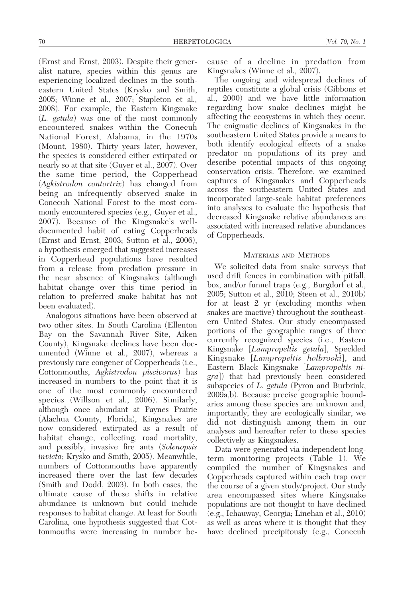(Ernst and Ernst, 2003). Despite their generalist nature, species within this genus are experiencing localized declines in the southeastern United States (Krysko and Smith, 2005; Winne et al., 2007; Stapleton et al., 2008). For example, the Eastern Kingsnake (L. getula) was one of the most commonly encountered snakes within the Conecuh National Forest, Alabama, in the 1970s (Mount, 1980). Thirty years later, however, the species is considered either extirpated or nearly so at that site (Guyer et al., 2007). Over the same time period, the Copperhead (Agkistrodon contortrix) has changed from being an infrequently observed snake in Conecuh National Forest to the most commonly encountered species (e.g., Guyer et al., 2007). Because of the Kingsnake's welldocumented habit of eating Copperheads (Ernst and Ernst, 2003; Sutton et al., 2006), a hypothesis emerged that suggested increases in Copperhead populations have resulted from a release from predation pressure in the near absence of Kingsnakes (although habitat change over this time period in relation to preferred snake habitat has not been evaluated).

Analogous situations have been observed at two other sites. In South Carolina (Ellenton Bay on the Savannah River Site, Aiken County), Kingsnake declines have been documented (Winne et al., 2007), whereas a previously rare congener of Copperheads (i.e., Cottonmouths, Agkistrodon piscivorus) has increased in numbers to the point that it is one of the most commonly encountered species (Willson et al., 2006). Similarly, although once abundant at Paynes Prairie (Alachua County, Florida), Kingsnakes are now considered extirpated as a result of habitat change, collecting, road mortality, and possibly, invasive fire ants (Solenopsis invicta; Krysko and Smith, 2005). Meanwhile, numbers of Cottonmouths have apparently increased there over the last few decades (Smith and Dodd, 2003). In both cases, the ultimate cause of these shifts in relative abundance is unknown but could include responses to habitat change. At least for South Carolina, one hypothesis suggested that Cottonmouths were increasing in number because of a decline in predation from Kingsnakes (Winne et al., 2007).

The ongoing and widespread declines of reptiles constitute a global crisis (Gibbons et al., 2000) and we have little information regarding how snake declines might be affecting the ecosystems in which they occur. The enigmatic declines of Kingsnakes in the southeastern United States provide a means to both identify ecological effects of a snake predator on populations of its prey and describe potential impacts of this ongoing conservation crisis. Therefore, we examined captures of Kingsnakes and Copperheads across the southeastern United States and incorporated large-scale habitat preferences into analyses to evaluate the hypothesis that decreased Kingsnake relative abundances are associated with increased relative abundances of Copperheads.

### MATERIALS AND METHODS

We solicited data from snake surveys that used drift fences in combination with pitfall, box, and/or funnel traps (e.g., Burgdorf et al., 2005; Sutton et al., 2010; Steen et al., 2010b) for at least 2 yr (excluding months when snakes are inactive) throughout the southeastern United States. Our study encompassed portions of the geographic ranges of three currently recognized species (i.e., Eastern Kingsnake [Lampropeltis getula], Speckled Kingsnake [Lampropeltis holbrooki], and Eastern Black Kingsnake [Lampropeltis nigra]) that had previously been considered subspecies of L. getula (Pyron and Burbrink, 2009a,b). Because precise geographic boundaries among these species are unknown and, importantly, they are ecologically similar, we did not distinguish among them in our analyses and hereafter refer to these species collectively as Kingsnakes.

Data were generated via independent longterm monitoring projects (Table 1). We compiled the number of Kingsnakes and Copperheads captured within each trap over the course of a given study/project. Our study area encompassed sites where Kingsnake populations are not thought to have declined (e.g., Ichauway, Georgia; Linehan et al., 2010) as well as areas where it is thought that they have declined precipitously (e.g., Conecuh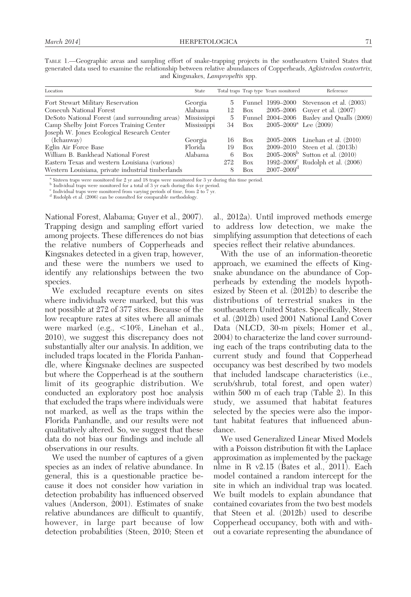| TABLE 1.—Geographic areas and sampling effort of snake-trapping projects in the southeastern United States that     |                                          |  |  |  |
|---------------------------------------------------------------------------------------------------------------------|------------------------------------------|--|--|--|
| generated data used to examine the relationship between relative abundances of Copperheads, Agkistrodon contortrix, |                                          |  |  |  |
|                                                                                                                     | and Kingsnakes, <i>Lampropeltis</i> spp. |  |  |  |

| Location                                          | State       |     |     | Total traps Trap type Years monitored | Reference                                      |
|---------------------------------------------------|-------------|-----|-----|---------------------------------------|------------------------------------------------|
| Fort Stewart Military Reservation                 | Georgia     | 5.  |     |                                       | Funnel 1999–2000 Stevenson et al. (2003)       |
| Conecuh National Forest                           | Alabama     | 12  | Box | 2005–2006                             | Guyer et al. (2007)                            |
| DeSoto National Forest (and surrounding areas)    | Mississippi | 5.  |     |                                       | Funnel 2004–2006 Baxley and Qualls (2009)      |
| Camp Shelby Joint Forces Training Center          | Mississippi | 34  | Box | $2005 - 2009^{\circ}$ Lee (2009)      |                                                |
| Joseph W. Jones Ecological Research Center        |             |     |     |                                       |                                                |
| (Ichauway)                                        | Georgia     | 16  | Box |                                       | 2005–2008 Linehan et al. (2010)                |
| Eglin Air Force Base                              | Florida     | 19  | Box |                                       | 2009–2010 Steen et al. (2013b)                 |
| William B. Bankhead National Forest               | Alabama     | 6   | Box |                                       | $2005 - 2008^b$ Sutton et al. (2010)           |
| Eastern Texas and western Louisiana (various)     |             | 272 | Box |                                       | 1992–2009 <sup>c</sup> Rudolph et al. $(2006)$ |
| Western Louisiana, private industrial timberlands |             | 8   | Box | $2007 - 2009$ <sup>d</sup>            |                                                |

<sup>a</sup> Sixteen traps were monitored for 2 yr and 18 traps were monitored for 3 yr during this time period.<br><sup>b</sup> Individual traps were monitored for a total of 3 yr each during this 4-yr period.<br><sup>c</sup> Individual traps were monit

 $^{\rm c}$  Individual traps were monitored from varying periods of time, from 2 to 7 yr.  $^{\rm d}$  Rudolph et al. (2006) can be consulted for comparable methodology.

National Forest, Alabama; Guyer et al., 2007). Trapping design and sampling effort varied among projects. These differences do not bias the relative numbers of Copperheads and Kingsnakes detected in a given trap, however, and these were the numbers we used to identify any relationships between the two species.

We excluded recapture events on sites where individuals were marked, but this was not possible at 272 of 377 sites. Because of the low recapture rates at sites where all animals were marked (e.g.,  $\leq 10\%$ , Linehan et al., 2010), we suggest this discrepancy does not substantially alter our analysis. In addition, we included traps located in the Florida Panhandle, where Kingsnake declines are suspected but where the Copperhead is at the southern limit of its geographic distribution. We conducted an exploratory post hoc analysis that excluded the traps where individuals were not marked, as well as the traps within the Florida Panhandle, and our results were not qualitatively altered. So, we suggest that these data do not bias our findings and include all observations in our results.

We used the number of captures of a given species as an index of relative abundance. In general, this is a questionable practice because it does not consider how variation in detection probability has influenced observed values (Anderson, 2001). Estimates of snake relative abundances are difficult to quantify, however, in large part because of low detection probabilities (Steen, 2010; Steen et al., 2012a). Until improved methods emerge to address low detection, we make the simplifying assumption that detections of each species reflect their relative abundances.

With the use of an information-theoretic approach, we examined the effects of Kingsnake abundance on the abundance of Copperheads by extending the models hypothesized by Steen et al. (2012b) to describe the distributions of terrestrial snakes in the southeastern United States. Specifically, Steen et al. (2012b) used 2001 National Land Cover Data (NLCD, 30-m pixels; Homer et al., 2004) to characterize the land cover surrounding each of the traps contributing data to the current study and found that Copperhead occupancy was best described by two models that included landscape characteristics (i.e., scrub/shrub, total forest, and open water) within 500 m of each trap (Table 2). In this study, we assumed that habitat features selected by the species were also the important habitat features that influenced abundance.

We used Generalized Linear Mixed Models with a Poisson distribution fit with the Laplace approximation as implemented by the package nlme in R v2.15 (Bates et al., 2011). Each model contained a random intercept for the site in which an individual trap was located. We built models to explain abundance that contained covariates from the two best models that Steen et al. (2012b) used to describe Copperhead occupancy, both with and without a covariate representing the abundance of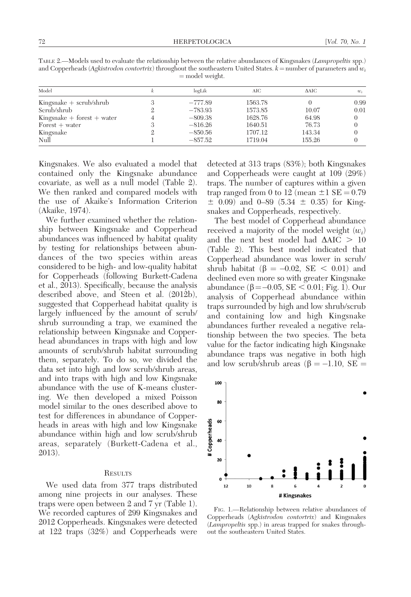| TABLE 2.—Models used to evaluate the relationship between the relative abundances of Kingsnakes (Lampropeltis spp.)      |
|--------------------------------------------------------------------------------------------------------------------------|
| and Copperheads (Agkistrodon contortrix) throughout the southeastern United States. $k =$ number of parameters and $w_i$ |
| $=$ model weight.                                                                                                        |

| Model                         | logLik    | AIC     | $\triangle$ AIC | $w_i$ |
|-------------------------------|-----------|---------|-----------------|-------|
| $King snake + scrub/shrub$    | $-777.89$ | 1563.78 |                 | 0.99  |
| Scrub/shrub                   | $-783.93$ | 1573.85 | 10.07           | 0.01  |
| $King snake + forest + water$ | $-809.38$ | 1628.76 | 64.98           |       |
| $F$ orest + water             | $-816.26$ | 1640.51 | 76.73           |       |
| Kingsnake                     | $-850.56$ | 1707.12 | 143.34          |       |
| Null                          | $-857.52$ | 1719.04 | 155.26          |       |

Kingsnakes. We also evaluated a model that contained only the Kingsnake abundance covariate, as well as a null model (Table 2). We then ranked and compared models with the use of Akaike's Information Criterion (Akaike, 1974).

We further examined whether the relationship between Kingsnake and Copperhead abundances was influenced by habitat quality by testing for relationships between abundances of the two species within areas considered to be high- and low-quality habitat for Copperheads (following Burkett-Cadena et al., 2013). Specifically, because the analysis described above, and Steen et al. (2012b), suggested that Copperhead habitat quality is largely influenced by the amount of scrub/ shrub surrounding a trap, we examined the relationship between Kingsnake and Copperhead abundances in traps with high and low amounts of scrub/shrub habitat surrounding them, separately. To do so, we divided the data set into high and low scrub/shrub areas, and into traps with high and low Kingsnake abundance with the use of K-means clustering. We then developed a mixed Poisson model similar to the ones described above to test for differences in abundance of Copperheads in areas with high and low Kingsnake abundance within high and low scrub/shrub areas, separately (Burkett-Cadena et al., 2013).

## **RESULTS**

We used data from 377 traps distributed among nine projects in our analyses. These traps were open between 2 and 7 yr (Table 1). We recorded captures of 299 Kingsnakes and 2012 Copperheads. Kingsnakes were detected at 122 traps (32%) and Copperheads were

detected at 313 traps (83%); both Kingsnakes and Copperheads were caught at 109 (29%) traps. The number of captures within a given trap ranged from 0 to 12 (mean  $\pm 1$  SE  $= 0.79$  $\pm$  0.09) and 0–89 (5.34  $\pm$  0.35) for Kingsnakes and Copperheads, respectively.

The best model of Copperhead abundance received a majority of the model weight  $(w_i)$ and the next best model had  $\Delta AIC > 10$ (Table 2). This best model indicated that Copperhead abundance was lower in scrub/ shrub habitat ( $\beta = -0.02$ , SE < 0.01) and declined even more so with greater Kingsnake abundance ( $\beta$ =—0.05, SE < 0.01; Fig. 1). Our analysis of Copperhead abundance within traps surrounded by high and low shrub/scrub and containing low and high Kingsnake abundances further revealed a negative relationship between the two species. The beta value for the factor indicating high Kingsnake abundance traps was negative in both high and low scrub/shrub areas ( $\beta = -1.10$ , SE =



FIG. 1.—Relationship between relative abundances of Copperheads (Agkistrodon contortrix) and Kingsnakes (Lampropeltis spp.) in areas trapped for snakes throughout the southeastern United States.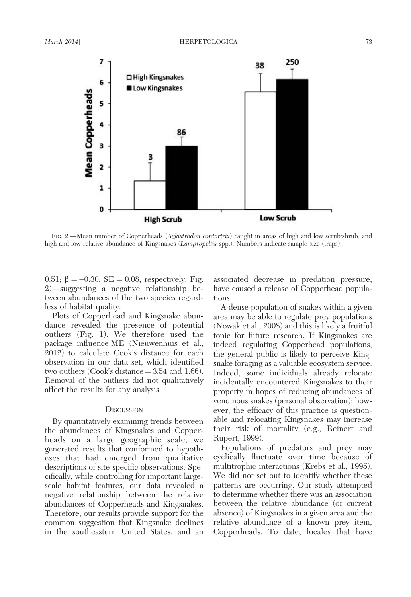

FIG. 2.—Mean number of Copperheads (Agkistrodon contortrix) caught in areas of high and low scrub/shrub, and high and low relative abundance of Kingsnakes (*Lampropeltis* spp.). Numbers indicate sample size (traps).

0.51;  $\beta = -0.30$ , SE = 0.08, respectively; Fig. 2)—suggesting a negative relationship between abundances of the two species regardless of habitat quality.

Plots of Copperhead and Kingsnake abundance revealed the presence of potential outliers (Fig. 1). We therefore used the package influence.ME (Nieuwenhuis et al., 2012) to calculate Cook's distance for each observation in our data set, which identified two outliers (Cook's distance  $= 3.54$  and 1.66). Removal of the outliers did not qualitatively affect the results for any analysis.

#### **DISCUSSION**

By quantitatively examining trends between the abundances of Kingsnakes and Copperheads on a large geographic scale, we generated results that conformed to hypotheses that had emerged from qualitative descriptions of site-specific observations. Specifically, while controlling for important largescale habitat features, our data revealed a negative relationship between the relative abundances of Copperheads and Kingsnakes. Therefore, our results provide support for the common suggestion that Kingsnake declines in the southeastern United States, and an associated decrease in predation pressure, have caused a release of Copperhead populations.

A dense population of snakes within a given area may be able to regulate prey populations (Nowak et al., 2008) and this is likely a fruitful topic for future research. If Kingsnakes are indeed regulating Copperhead populations, the general public is likely to perceive Kingsnake foraging as a valuable ecosystem service. Indeed, some individuals already relocate incidentally encountered Kingsnakes to their property in hopes of reducing abundances of venomous snakes (personal observation); however, the efficacy of this practice is questionable and relocating Kingsnakes may increase their risk of mortality (e.g., Reinert and Rupert, 1999).

Populations of predators and prey may cyclically fluctuate over time because of multitrophic interactions (Krebs et al., 1995). We did not set out to identify whether these patterns are occurring. Our study attempted to determine whether there was an association between the relative abundance (or current absence) of Kingsnakes in a given area and the relative abundance of a known prey item, Copperheads. To date, locales that have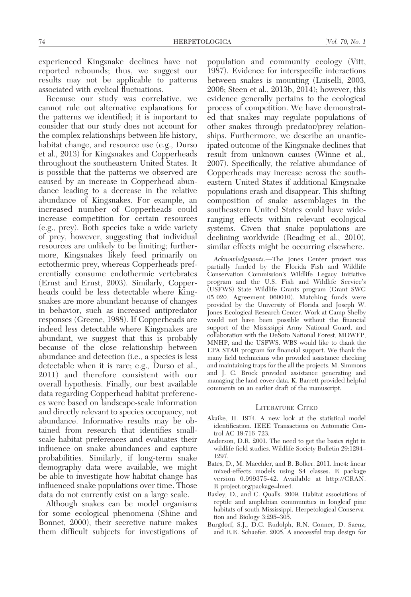experienced Kingsnake declines have not reported rebounds; thus, we suggest our results may not be applicable to patterns associated with cyclical fluctuations.

Because our study was correlative, we cannot rule out alternative explanations for the patterns we identified; it is important to consider that our study does not account for the complex relationships between life history, habitat change, and resource use (e.g., Durso et al., 2013) for Kingsnakes and Copperheads throughout the southeastern United States. It is possible that the patterns we observed are caused by an increase in Copperhead abundance leading to a decrease in the relative abundance of Kingsnakes. For example, an increased number of Copperheads could increase competition for certain resources (e.g., prey). Both species take a wide variety of prey, however, suggesting that individual resources are unlikely to be limiting; furthermore, Kingsnakes likely feed primarily on ectothermic prey, whereas Copperheads preferentially consume endothermic vertebrates (Ernst and Ernst, 2003). Similarly, Copperheads could be less detectable where Kingsnakes are more abundant because of changes in behavior, such as increased antipredator responses (Greene, 1988). If Copperheads are indeed less detectable where Kingsnakes are abundant, we suggest that this is probably because of the close relationship between abundance and detection (i.e., a species is less detectable when it is rare; e.g., Durso et al., 2011) and therefore consistent with our overall hypothesis. Finally, our best available data regarding Copperhead habitat preferences were based on landscape-scale information and directly relevant to species occupancy, not abundance. Informative results may be obtained from research that identifies smallscale habitat preferences and evaluates their influence on snake abundances and capture probabilities. Similarly, if long-term snake demography data were available, we might be able to investigate how habitat change has influenced snake populations over time. Those data do not currently exist on a large scale.

Although snakes can be model organisms for some ecological phenomena (Shine and Bonnet, 2000), their secretive nature makes them difficult subjects for investigations of population and community ecology (Vitt, 1987). Evidence for interspecific interactions between snakes is mounting (Luiselli, 2003, 2006; Steen et al., 2013b, 2014); however, this evidence generally pertains to the ecological process of competition. We have demonstrated that snakes may regulate populations of other snakes through predator/prey relationships. Furthermore, we describe an unanticipated outcome of the Kingsnake declines that result from unknown causes (Winne et al., 2007). Specifically, the relative abundance of Copperheads may increase across the southeastern United States if additional Kingsnake populations crash and disappear. This shifting composition of snake assemblages in the southeastern United States could have wideranging effects within relevant ecological systems. Given that snake populations are declining worldwide (Reading et al., 2010), similar effects might be occurring elsewhere.

Acknowledgments.—The Jones Center project was partially funded by the Florida Fish and Wildlife Conservation Commission's Wildlife Legacy Initiative program and the U.S. Fish and Wildlife Service's (USFWS) State Wildlife Grants program (Grant SWG 05-020, Agreement 060010). Matching funds were provided by the University of Florida and Joseph W. Jones Ecological Research Center. Work at Camp Shelby would not have been possible without the financial support of the Mississippi Army National Guard, and collaboration with the DeSoto National Forest, MDWFP, MNHP, and the USFWS. WBS would like to thank the EPA STAR program for financial support. We thank the many field technicians who provided assistance checking and maintaining traps for the all the projects. M. Simmons and J. C. Brock provided assistance generating and managing the land-cover data. K. Barrett provided helpful comments on an earlier draft of the manuscript.

#### LITERATURE CITED

- Akaike, H. 1974. A new look at the statistical model identification. IEEE Transactions on Automatic Control AC-19:716–723.
- Anderson, D.R. 2001. The need to get the basics right in wildlife field studies. Wildlife Society Bulletin 29:1294– 1297.
- Bates, D., M. Maechler, and B. Bolker. 2011. lme4: linear mixed-effects models using S4 classes. R package version 0.999375-42. Available at http://CRAN. R-project.org/package=lme4.
- Baxley, D., and C. Qualls. 2009. Habitat associations of reptile and amphibian communities in longleaf pine habitats of south Mississippi. Herpetological Conservation and Biology 3:295–305.
- Burgdorf, S.J., D.C. Rudolph, R.N. Conner, D. Saenz, and R.R. Schaefer. 2005. A successful trap design for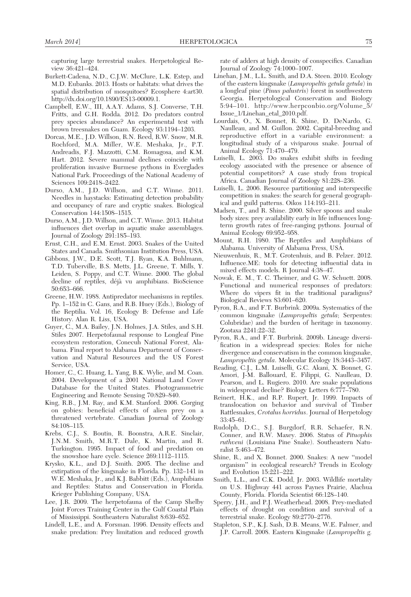capturing large terrestrial snakes. Herpetological Review 36:421–424.

- Burkett-Cadena, N.D., C.J.W. McClure, L.K. Estep, and M.D. Eubanks. 2013. Hosts or habitats: what drives the spatial distribution of mosquitoes? Ecosphere 4:art30. http://dx.doi.org/10.1890/ES13-00009.1.
- Campbell, E.W., III, A.A.Y. Adams, S.J. Converse, T.H. Fritts, and G.H. Rodda. 2012. Do predators control prey species abundance? An experimental test with brown treesnakes on Guam. Ecology 93:1194–1203.
- Dorcas, M.E., J.D. Willson, R.N. Reed, R.W. Snow, M.R. Rochford, M.A. Miller, W.E. Meshaka, Jr., P.T. Andreadis, F.J. Mazzotti, C.M. Romagosa, and K.M. Hart. 2012. Severe mammal declines coincide with proliferation invasive Burmese pythons in Everglades National Park. Proceedings of the National Academy of Sciences 109:2418–2422.
- Durso, A.M., J.D. Willson, and C.T. Winne. 2011. Needles in haystacks: Estimating detection probability and occupancy of rare and cryptic snakes. Biological Conservation 144:1508–1515.
- Durso, A.M., J.D. Willson, and C.T. Winne. 2013. Habitat influences diet overlap in aquatic snake assemblages. Journal of Zoology 291:185–193.
- Ernst, C.H., and E.M. Ernst. 2003. Snakes of the United States and Canada. Smithsonian Institution Press, USA.
- Gibbons, J.W., D.E. Scott, T.J. Ryan, K.A. Buhlmann, T.D. Tuberville, B.S. Metts, J.L. Greene, T. Mills, Y. Leiden, S. Poppy, and C.T. Winne. 2000. The global decline of reptiles, déjà vu amphibians. BioScience 50:653–666.
- Greene, H.W. 1988. Antipredator mechanisms in reptiles. Pp. 1–152 in C. Gans, and R.B. Huey (Eds.), Biology of the Reptilia. Vol. 16, Ecology B: Defense and Life History. Alan R. Liss, USA.
- Guyer, C., M.A. Bailey, J.N. Holmes, J.A. Stiles, and S.H. Stiles 2007. Herpetofaunal response to Longleaf Pine ecosystem restoration, Conecuh National Forest, Alabama. Final report to Alabama Department of Conservation and Natural Resources and the US Forest Service, USA.
- Homer, C., C. Huang, L. Yang, B.K. Wylie, and M. Coan. 2004. Development of a 2001 National Land Cover Database for the United States. Photogrammetric Engineering and Remote Sensing 70:829–840.
- King, R.B., J.M. Ray, and K.M. Stanford. 2006. Gorging on gobies: beneficial effects of alien prey on a threatened vertebrate. Canadian Journal of Zoology 84:108–115.
- Krebs, C.J., S. Boutin, R. Boonstra, A.R.E. Sinclair, J.N.M. Smith, M.R.T. Dale, K. Martin, and R. Turkington. 1995. Impact of food and predation on the snowshoe hare cycle. Science 269:1112–1115.
- Krysko, K.L., and D.J. Smith. 2005. The decline and extirpation of the kingsnake in Florida. Pp. 132–141 in W.E. Meshaka, Jr., and K.J. Babbitt (Eds.), Amphibians and Reptiles: Status and Conservation in Florida. Krieger Publishing Company, USA.
- Lee, J.R. 2009. The herpetofauna of the Camp Shelby Joint Forces Training Center in the Gulf Coastal Plain of Mississippi. Southeastern Naturalist 8:639–652.
- Lindell, L.E., and A. Forsman. 1996. Density effects and snake predation: Prey limitation and reduced growth

rate of adders at high density of conspecifics. Canadian Journal of Zoology 74:1000–1007.

- Linehan, J.M., L.L. Smith, and D.A. Steen. 2010. Ecology of the eastern kingsnake (Lampropeltis getula getula) in a longleaf pine (Pinus palustris) forest in southwestern Georgia. Herpetological Conservation and Biology 5:94–101. http://www.herpconbio.org/Volume\_5/ Issue\_1/Linehan\_etal\_2010.pdf.
- Lourdais, O., X. Bonnet, R. Shine, D. DeNardo, G. Naulleau, and M. Guillon. 2002. Capital-breeding and reproductive effort in a variable environment: a longitudinal study of a viviparous snake. Journal of Animal Ecology 71:470–479.
- Luiselli, L. 2003. Do snakes exhibit shifts in feeding ecology associated with the presence or absence of potential competitors? A case study from tropical Africa. Canadian Journal of Zoology 81:228–236.
- Luiselli, L. 2006. Resource partitioning and interspecific competition in snakes: the search for general geographical and guild patterns. Oikos 114:193–211.
- Madsen, T., and R. Shine. 2000. Silver spoons and snake body sizes: prey availability early in life influences longterm growth rates of free-ranging pythons. Journal of Animal Ecology 69:952–958.
- Mount, R.H. 1980. The Reptiles and Amphibians of Alabama. University of Alabama Press, USA.
- Nieuwenhuis, R., M.T. Grotenhuis, and B. Pelzer. 2012. Influence.ME: tools for detecting influential data in mixed effects models. R Journal 4:38–47.
- Nowak, E. M., T. C. Theimer, and G. W. Schuett. 2008. Functional and numerical responses of predators: Where do vipers fit in the traditional paradigms? Biological Reviews 83:601–620.
- Pyron, R.A., and F.T. Burbrink. 2009a. Systematics of the common kingsnake (Lampropeltis getula; Serpentes: Colubridae) and the burden of heritage in taxonomy. Zootaxa 2241:22–32.
- Pyron, R.A., and F.T. Burbrink. 2009b. Lineage diversification in a widespread species: Roles for niche divergence and conservatism in the common kingsnake, Lampropeltis getula. Molecular Ecology 18:3443–3457.
- Reading, C.J., L.M. Luiselli, G.C. Akani, X. Bonnet, G. Amori, J-M. Ballouard, E. Filippi, G. Naulleau, D. Pearson, and L. Rugiero. 2010. Are snake populations in widespread decline? Biology Letters 6:777–780.
- Reinert, H.K., and R.P. Rupert, Jr. 1999. Impacts of translocation on behavior and survival of Timber Rattlesnakes, Crotalus horridus. Journal of Herpetology 33:45–61.
- Rudolph, D.C., S.J. Burgdorf, R.R. Schaefer, R.N. Conner, and R.W. Maxey. 2006. Status of Pituophis ruthveni (Louisiana Pine Snake). Southeastern Naturalist 5:463–472.
- Shine, R., and X. Bonnet. 2000. Snakes: A new ''model organism'' in ecological research? Trends in Ecology and Evolution 15:221–222.
- Smith, L.L., and C.K. Dodd, Jr. 2003. Wildlife mortality on U.S. Highway 441 across Paynes Prairie, Alachua County, Florida. Florida Scientist 66:128–140.
- Sperry, J.H., and P.J. Weatherhead. 2008. Prey-mediated effects of drought on condition and survival of a terrestrial snake. Ecology 89:2770–2776.
- Stapleton, S.P., K.J. Sash, D.B. Means, W.E. Palmer, and J.P. Carroll. 2008. Eastern Kingsnake (Lampropeltis g.